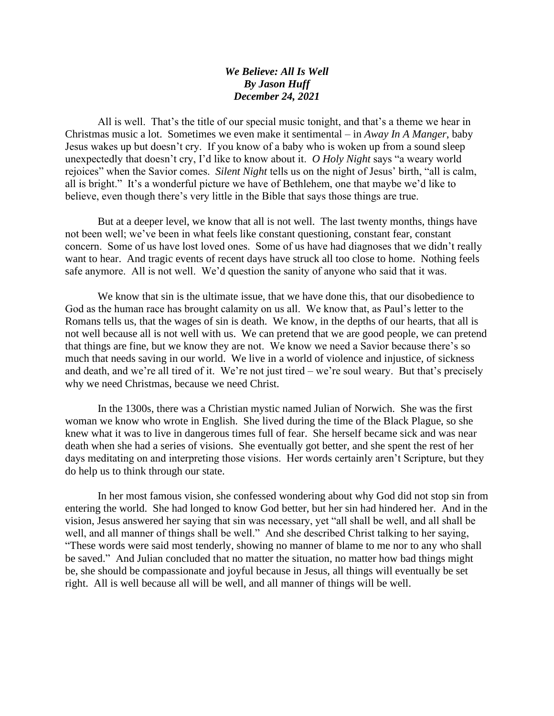## *We Believe: All Is Well By Jason Huff December 24, 2021*

All is well. That's the title of our special music tonight, and that's a theme we hear in Christmas music a lot. Sometimes we even make it sentimental – in *Away In A Manger*, baby Jesus wakes up but doesn't cry. If you know of a baby who is woken up from a sound sleep unexpectedly that doesn't cry, I'd like to know about it. *O Holy Night* says "a weary world rejoices" when the Savior comes. *Silent Night* tells us on the night of Jesus' birth, "all is calm, all is bright." It's a wonderful picture we have of Bethlehem, one that maybe we'd like to believe, even though there's very little in the Bible that says those things are true.

But at a deeper level, we know that all is not well. The last twenty months, things have not been well; we've been in what feels like constant questioning, constant fear, constant concern. Some of us have lost loved ones. Some of us have had diagnoses that we didn't really want to hear. And tragic events of recent days have struck all too close to home. Nothing feels safe anymore. All is not well. We'd question the sanity of anyone who said that it was.

We know that sin is the ultimate issue, that we have done this, that our disobedience to God as the human race has brought calamity on us all. We know that, as Paul's letter to the Romans tells us, that the wages of sin is death. We know, in the depths of our hearts, that all is not well because all is not well with us. We can pretend that we are good people, we can pretend that things are fine, but we know they are not. We know we need a Savior because there's so much that needs saving in our world. We live in a world of violence and injustice, of sickness and death, and we're all tired of it. We're not just tired – we're soul weary. But that's precisely why we need Christmas, because we need Christ.

In the 1300s, there was a Christian mystic named Julian of Norwich. She was the first woman we know who wrote in English. She lived during the time of the Black Plague, so she knew what it was to live in dangerous times full of fear. She herself became sick and was near death when she had a series of visions. She eventually got better, and she spent the rest of her days meditating on and interpreting those visions. Her words certainly aren't Scripture, but they do help us to think through our state.

In her most famous vision, she confessed wondering about why God did not stop sin from entering the world. She had longed to know God better, but her sin had hindered her. And in the vision, Jesus answered her saying that sin was necessary, yet "all shall be well, and all shall be well, and all manner of things shall be well." And she described Christ talking to her saying, "These words were said most tenderly, showing no manner of blame to me nor to any who shall be saved." And Julian concluded that no matter the situation, no matter how bad things might be, she should be compassionate and joyful because in Jesus, all things will eventually be set right. All is well because all will be well, and all manner of things will be well.